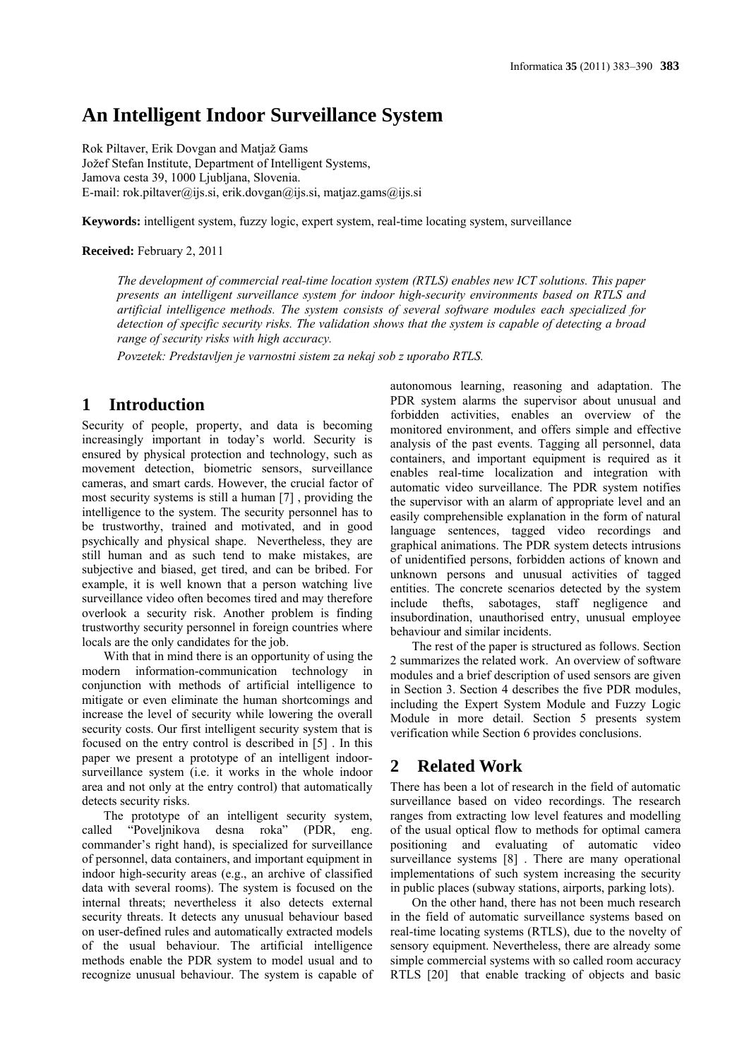# **An Intelligent Indoor Surveillance System**

Rok Piltaver, Erik Dovgan and Matjaž Gams Jožef Stefan Institute, Department of Intelligent Systems, Jamova cesta 39, 1000 Ljubljana, Slovenia. E-mail: rok.piltaver@ijs.si, erik.dovgan@ijs.si, matjaz.gams@ijs.si

**Keywords:** intelligent system, fuzzy logic, expert system, real-time locating system, surveillance

#### **Received:** February 2, 2011

*The development of commercial real-time location system (RTLS) enables new ICT solutions. This paper presents an intelligent surveillance system for indoor high-security environments based on RTLS and artificial intelligence methods. The system consists of several software modules each specialized for detection of specific security risks. The validation shows that the system is capable of detecting a broad range of security risks with high accuracy.* 

*Povzetek: Predstavljen je varnostni sistem za nekaj sob z uporabo RTLS.* 

## **1 Introduction**

Security of people, property, and data is becoming increasingly important in today's world. Security is ensured by physical protection and technology, such as movement detection, biometric sensors, surveillance cameras, and smart cards. However, the crucial factor of most security systems is still a human [7] , providing the intelligence to the system. The security personnel has to be trustworthy, trained and motivated, and in good psychically and physical shape. Nevertheless, they are still human and as such tend to make mistakes, are subjective and biased, get tired, and can be bribed. For example, it is well known that a person watching live surveillance video often becomes tired and may therefore overlook a security risk. Another problem is finding trustworthy security personnel in foreign countries where locals are the only candidates for the job.

With that in mind there is an opportunity of using the modern information-communication technology in conjunction with methods of artificial intelligence to mitigate or even eliminate the human shortcomings and increase the level of security while lowering the overall security costs. Our first intelligent security system that is focused on the entry control is described in [5] . In this paper we present a prototype of an intelligent indoorsurveillance system (i.e. it works in the whole indoor area and not only at the entry control) that automatically detects security risks.

The prototype of an intelligent security system, called "Poveljnikova desna roka" (PDR, eng. commander's right hand), is specialized for surveillance of personnel, data containers, and important equipment in indoor high-security areas (e.g., an archive of classified data with several rooms). The system is focused on the internal threats; nevertheless it also detects external security threats. It detects any unusual behaviour based on user-defined rules and automatically extracted models of the usual behaviour. The artificial intelligence methods enable the PDR system to model usual and to recognize unusual behaviour. The system is capable of autonomous learning, reasoning and adaptation. The PDR system alarms the supervisor about unusual and forbidden activities, enables an overview of the monitored environment, and offers simple and effective analysis of the past events. Tagging all personnel, data containers, and important equipment is required as it enables real-time localization and integration with automatic video surveillance. The PDR system notifies the supervisor with an alarm of appropriate level and an easily comprehensible explanation in the form of natural language sentences, tagged video recordings and graphical animations. The PDR system detects intrusions of unidentified persons, forbidden actions of known and unknown persons and unusual activities of tagged entities. The concrete scenarios detected by the system include thefts, sabotages, staff negligence and insubordination, unauthorised entry, unusual employee behaviour and similar incidents.

The rest of the paper is structured as follows. Section 2 summarizes the related work. An overview of software modules and a brief description of used sensors are given in Section 3. Section 4 describes the five PDR modules, including the Expert System Module and Fuzzy Logic Module in more detail. Section 5 presents system verification while Section 6 provides conclusions.

## **2 Related Work**

There has been a lot of research in the field of automatic surveillance based on video recordings. The research ranges from extracting low level features and modelling of the usual optical flow to methods for optimal camera positioning and evaluating of automatic video surveillance systems [8]. There are many operational implementations of such system increasing the security in public places (subway stations, airports, parking lots).

On the other hand, there has not been much research in the field of automatic surveillance systems based on real-time locating systems (RTLS), due to the novelty of sensory equipment. Nevertheless, there are already some simple commercial systems with so called room accuracy RTLS [20] that enable tracking of objects and basic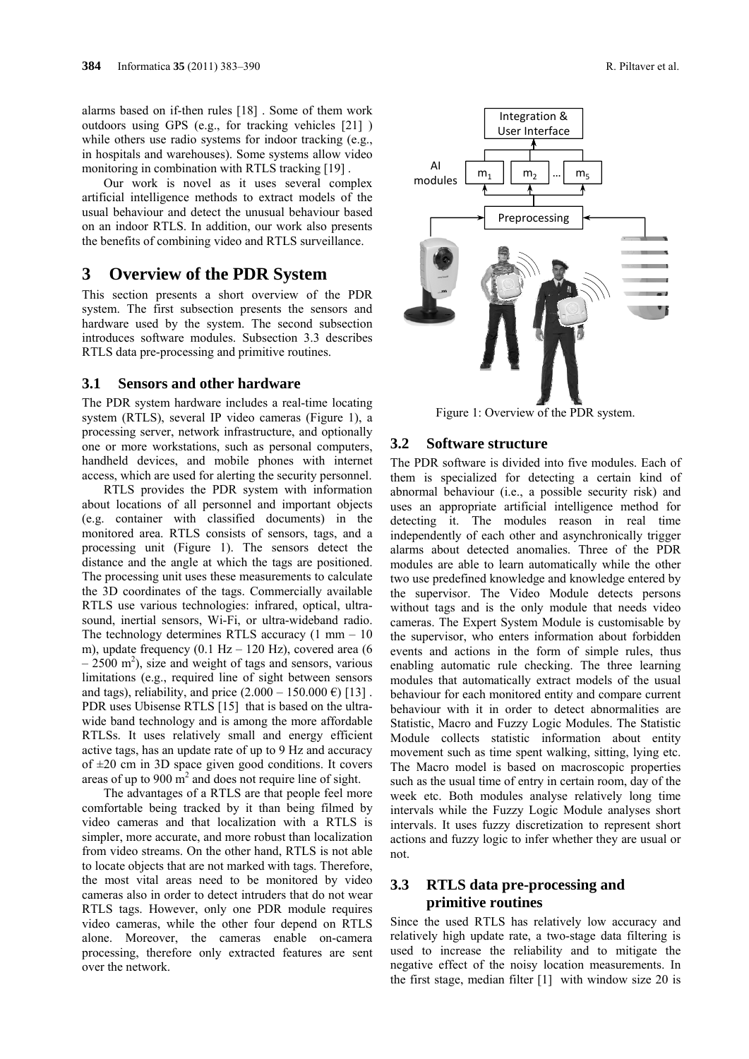alarms based on if-then rules [18] . Some of them work outdoors using GPS (e.g., for tracking vehicles [21] ) while others use radio systems for indoor tracking (e.g., in hospitals and warehouses). Some systems allow video monitoring in combination with RTLS tracking [19] .

Our work is novel as it uses several complex artificial intelligence methods to extract models of the usual behaviour and detect the unusual behaviour based on an indoor RTLS. In addition, our work also presents the benefits of combining video and RTLS surveillance.

## **3 Overview of the PDR System**

This section presents a short overview of the PDR system. The first subsection presents the sensors and hardware used by the system. The second subsection introduces software modules. Subsection 3.3 describes RTLS data pre-processing and primitive routines.

#### **3.1 Sensors and other hardware**

The PDR system hardware includes a real-time locating system (RTLS), several IP video cameras (Figure 1), a processing server, network infrastructure, and optionally one or more workstations, such as personal computers, handheld devices, and mobile phones with internet access, which are used for alerting the security personnel.

RTLS provides the PDR system with information about locations of all personnel and important objects (e.g. container with classified documents) in the monitored area. RTLS consists of sensors, tags, and a processing unit (Figure 1). The sensors detect the distance and the angle at which the tags are positioned. The processing unit uses these measurements to calculate the 3D coordinates of the tags. Commercially available RTLS use various technologies: infrared, optical, ultrasound, inertial sensors, Wi-Fi, or ultra-wideband radio. The technology determines RTLS accuracy  $(1 \text{ mm} - 10)$ m), update frequency  $(0.1 \text{ Hz} - 120 \text{ Hz})$ , covered area  $(6$  $-2500$  m<sup>2</sup>), size and weight of tags and sensors, various limitations (e.g., required line of sight between sensors and tags), reliability, and price  $(2.000 - 150.000 \text{ } \epsilon)$  [13]. PDR uses Ubisense RTLS [15] that is based on the ultrawide band technology and is among the more affordable RTLSs. It uses relatively small and energy efficient active tags, has an update rate of up to 9 Hz and accuracy of  $\pm 20$  cm in 3D space given good conditions. It covers areas of up to  $900 \text{ m}^2$  and does not require line of sight.

The advantages of a RTLS are that people feel more comfortable being tracked by it than being filmed by video cameras and that localization with a RTLS is simpler, more accurate, and more robust than localization from video streams. On the other hand, RTLS is not able to locate objects that are not marked with tags. Therefore, the most vital areas need to be monitored by video cameras also in order to detect intruders that do not wear RTLS tags. However, only one PDR module requires video cameras, while the other four depend on RTLS alone. Moreover, the cameras enable on-camera processing, therefore only extracted features are sent over the network.



Figure 1: Overview of the PDR system.

#### **3.2 Software structure**

The PDR software is divided into five modules. Each of them is specialized for detecting a certain kind of abnormal behaviour (i.e., a possible security risk) and uses an appropriate artificial intelligence method for detecting it. The modules reason in real time independently of each other and asynchronically trigger alarms about detected anomalies. Three of the PDR modules are able to learn automatically while the other two use predefined knowledge and knowledge entered by the supervisor. The Video Module detects persons without tags and is the only module that needs video cameras. The Expert System Module is customisable by the supervisor, who enters information about forbidden events and actions in the form of simple rules, thus enabling automatic rule checking. The three learning modules that automatically extract models of the usual behaviour for each monitored entity and compare current behaviour with it in order to detect abnormalities are Statistic, Macro and Fuzzy Logic Modules. The Statistic Module collects statistic information about entity movement such as time spent walking, sitting, lying etc. The Macro model is based on macroscopic properties such as the usual time of entry in certain room, day of the week etc. Both modules analyse relatively long time intervals while the Fuzzy Logic Module analyses short intervals. It uses fuzzy discretization to represent short actions and fuzzy logic to infer whether they are usual or not.

## **3.3 RTLS data pre-processing and primitive routines**

Since the used RTLS has relatively low accuracy and relatively high update rate, a two-stage data filtering is used to increase the reliability and to mitigate the negative effect of the noisy location measurements. In the first stage, median filter [1] with window size 20 is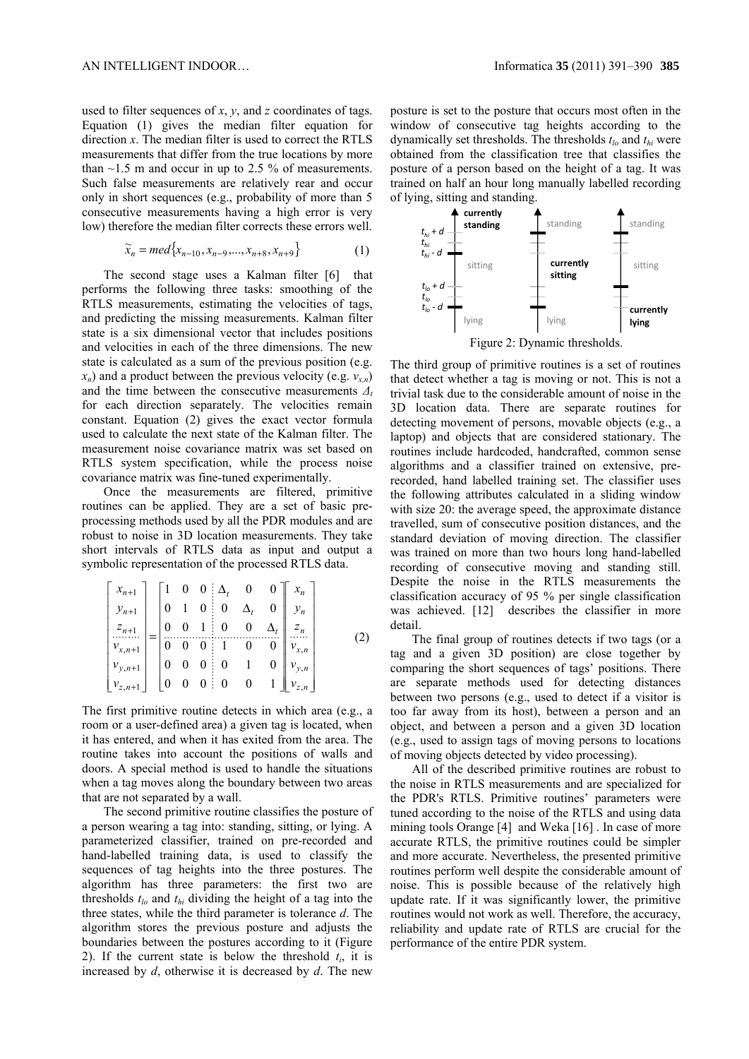used to filter sequences of *x*, *y*, and *z* coordinates of tags. Equation (1) gives the median filter equation for direction *x*. The median filter is used to correct the RTLS measurements that differ from the true locations by more than  $\sim$ 1.5 m and occur in up to 2.5 % of measurements. Such false measurements are relatively rear and occur only in short sequences (e.g., probability of more than 5 consecutive measurements having a high error is very low) therefore the median filter corrects these errors well.

$$
\widetilde{x}_n = med\{x_{n-10}, x_{n-9}, \dots, x_{n+8}, x_{n+9}\}\tag{1}
$$

The second stage uses a Kalman filter [6] that performs the following three tasks: smoothing of the RTLS measurements, estimating the velocities of tags, and predicting the missing measurements. Kalman filter state is a six dimensional vector that includes positions and velocities in each of the three dimensions. The new state is calculated as a sum of the previous position (e.g.  $x_n$ ) and a product between the previous velocity (e.g.  $v_{x,n}$ ) and the time between the consecutive measurements  $\Delta_t$ for each direction separately. The velocities remain constant. Equation (2) gives the exact vector formula used to calculate the next state of the Kalman filter. The measurement noise covariance matrix was set based on RTLS system specification, while the process noise covariance matrix was fine-tuned experimentally.

Once the measurements are filtered, primitive routines can be applied. They are a set of basic preprocessing methods used by all the PDR modules and are robust to noise in 3D location measurements. They take short intervals of RTLS data as input and output a symbolic representation of the processed RTLS data.

$$
\begin{bmatrix} x_{n+1} \\ y_{n+1} \\ z_{n+1} \\ \vdots \\ v_{x,n+1} \\ v_{y,n+1} \\ v_{z,n+1} \end{bmatrix} = \begin{bmatrix} 1 & 0 & 0 & \Delta_t & 0 & 0 \\ 0 & 1 & 0 & 0 & \Delta_t & 0 \\ 0 & 0 & 1 & 0 & 0 & \Delta_t \\ 0 & 0 & 0 & 1 & 0 & 0 \\ 0 & 0 & 0 & 0 & 1 & 0 \\ 0 & 0 & 0 & 0 & 0 & 1 \end{bmatrix} \begin{bmatrix} x_n \\ y_n \\ z_n \\ \vdots \\ v_{y,n} \\ v_{y,n} \\ v_{z,n} \end{bmatrix}
$$
 (2)

The first primitive routine detects in which area (e.g., a room or a user-defined area) a given tag is located, when it has entered, and when it has exited from the area. The routine takes into account the positions of walls and doors. A special method is used to handle the situations when a tag moves along the boundary between two areas that are not separated by a wall.

The second primitive routine classifies the posture of a person wearing a tag into: standing, sitting, or lying. A parameterized classifier, trained on pre-recorded and hand-labelled training data, is used to classify the sequences of tag heights into the three postures. The algorithm has three parameters: the first two are thresholds  $t_{lo}$  and  $t_{hi}$  dividing the height of a tag into the three states, while the third parameter is tolerance *d*. The algorithm stores the previous posture and adjusts the boundaries between the postures according to it (Figure 2). If the current state is below the threshold  $t_i$ , it is increased by *d*, otherwise it is decreased by *d*. The new

posture is set to the posture that occurs most often in the window of consecutive tag heights according to the dynamically set thresholds. The thresholds *tlo* and *thi* were obtained from the classification tree that classifies the posture of a person based on the height of a tag. It was trained on half an hour long manually labelled recording of lying, sitting and standing.



Figure 2: Dynamic thresholds.

The third group of primitive routines is a set of routines that detect whether a tag is moving or not. This is not a trivial task due to the considerable amount of noise in the 3D location data. There are separate routines for detecting movement of persons, movable objects (e.g., a laptop) and objects that are considered stationary. The routines include hardcoded, handcrafted, common sense algorithms and a classifier trained on extensive, prerecorded, hand labelled training set. The classifier uses the following attributes calculated in a sliding window with size 20: the average speed, the approximate distance travelled, sum of consecutive position distances, and the standard deviation of moving direction. The classifier was trained on more than two hours long hand-labelled recording of consecutive moving and standing still. Despite the noise in the RTLS measurements the classification accuracy of 95 % per single classification was achieved. [12] describes the classifier in more detail.

The final group of routines detects if two tags (or a tag and a given 3D position) are close together by comparing the short sequences of tags' positions. There are separate methods used for detecting distances between two persons (e.g., used to detect if a visitor is too far away from its host), between a person and an object, and between a person and a given 3D location (e.g., used to assign tags of moving persons to locations of moving objects detected by video processing).

All of the described primitive routines are robust to the noise in RTLS measurements and are specialized for the PDR's RTLS. Primitive routines' parameters were tuned according to the noise of the RTLS and using data mining tools Orange [4] and Weka [16] . In case of more accurate RTLS, the primitive routines could be simpler and more accurate. Nevertheless, the presented primitive routines perform well despite the considerable amount of noise. This is possible because of the relatively high update rate. If it was significantly lower, the primitive routines would not work as well. Therefore, the accuracy, reliability and update rate of RTLS are crucial for the performance of the entire PDR system.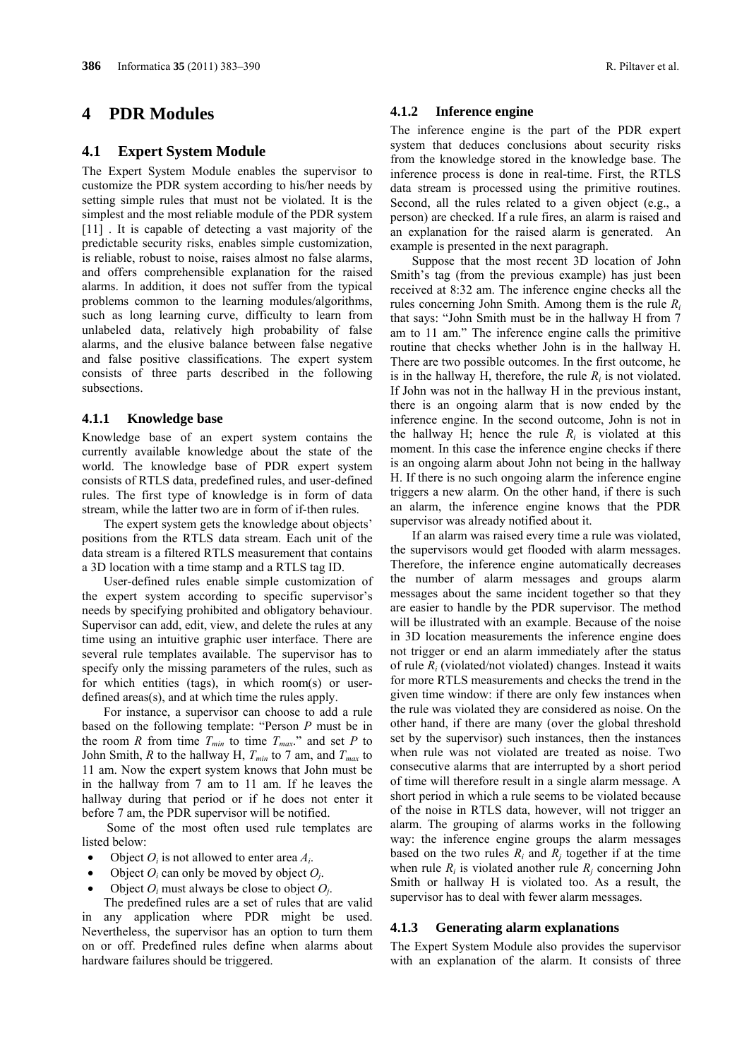## **4 PDR Modules**

#### **4.1 Expert System Module**

The Expert System Module enables the supervisor to customize the PDR system according to his/her needs by setting simple rules that must not be violated. It is the simplest and the most reliable module of the PDR system [11]. It is capable of detecting a vast majority of the predictable security risks, enables simple customization, is reliable, robust to noise, raises almost no false alarms, and offers comprehensible explanation for the raised alarms. In addition, it does not suffer from the typical problems common to the learning modules/algorithms, such as long learning curve, difficulty to learn from unlabeled data, relatively high probability of false alarms, and the elusive balance between false negative and false positive classifications. The expert system consists of three parts described in the following subsections.

#### **4.1.1 Knowledge base**

Knowledge base of an expert system contains the currently available knowledge about the state of the world. The knowledge base of PDR expert system consists of RTLS data, predefined rules, and user-defined rules. The first type of knowledge is in form of data stream, while the latter two are in form of if-then rules.

The expert system gets the knowledge about objects' positions from the RTLS data stream. Each unit of the data stream is a filtered RTLS measurement that contains a 3D location with a time stamp and a RTLS tag ID.

User-defined rules enable simple customization of the expert system according to specific supervisor's needs by specifying prohibited and obligatory behaviour. Supervisor can add, edit, view, and delete the rules at any time using an intuitive graphic user interface. There are several rule templates available. The supervisor has to specify only the missing parameters of the rules, such as for which entities (tags), in which room(s) or userdefined areas(s), and at which time the rules apply.

For instance, a supervisor can choose to add a rule based on the following template: "Person *P* must be in the room *R* from time  $T_{min}$  to time  $T_{max}$ ." and set *P* to John Smith, *R* to the hallway H,  $T_{min}$  to 7 am, and  $T_{max}$  to 11 am. Now the expert system knows that John must be in the hallway from 7 am to 11 am. If he leaves the hallway during that period or if he does not enter it before 7 am, the PDR supervisor will be notified.

 Some of the most often used rule templates are listed below:

- Object  $O_i$  is not allowed to enter area  $A_i$ .
- Object  $O_i$  can only be moved by object  $O_i$ .
- Object  $O_i$  must always be close to object  $O_i$ .

The predefined rules are a set of rules that are valid in any application where PDR might be used. Nevertheless, the supervisor has an option to turn them on or off. Predefined rules define when alarms about hardware failures should be triggered.

#### **4.1.2 Inference engine**

The inference engine is the part of the PDR expert system that deduces conclusions about security risks from the knowledge stored in the knowledge base. The inference process is done in real-time. First, the RTLS data stream is processed using the primitive routines. Second, all the rules related to a given object (e.g., a person) are checked. If a rule fires, an alarm is raised and an explanation for the raised alarm is generated. An example is presented in the next paragraph.

Suppose that the most recent 3D location of John Smith's tag (from the previous example) has just been received at 8:32 am. The inference engine checks all the rules concerning John Smith. Among them is the rule *Ri* that says: "John Smith must be in the hallway H from 7 am to 11 am." The inference engine calls the primitive routine that checks whether John is in the hallway H. There are two possible outcomes. In the first outcome, he is in the hallway H, therefore, the rule  $R_i$  is not violated. If John was not in the hallway H in the previous instant, there is an ongoing alarm that is now ended by the inference engine. In the second outcome, John is not in the hallway H; hence the rule  $R_i$  is violated at this moment. In this case the inference engine checks if there is an ongoing alarm about John not being in the hallway H. If there is no such ongoing alarm the inference engine triggers a new alarm. On the other hand, if there is such an alarm, the inference engine knows that the PDR supervisor was already notified about it.

If an alarm was raised every time a rule was violated, the supervisors would get flooded with alarm messages. Therefore, the inference engine automatically decreases the number of alarm messages and groups alarm messages about the same incident together so that they are easier to handle by the PDR supervisor. The method will be illustrated with an example. Because of the noise in 3D location measurements the inference engine does not trigger or end an alarm immediately after the status of rule *Ri* (violated/not violated) changes. Instead it waits for more RTLS measurements and checks the trend in the given time window: if there are only few instances when the rule was violated they are considered as noise. On the other hand, if there are many (over the global threshold set by the supervisor) such instances, then the instances when rule was not violated are treated as noise. Two consecutive alarms that are interrupted by a short period of time will therefore result in a single alarm message. A short period in which a rule seems to be violated because of the noise in RTLS data, however, will not trigger an alarm. The grouping of alarms works in the following way: the inference engine groups the alarm messages based on the two rules  $R_i$  and  $R_j$  together if at the time when rule  $R_i$  is violated another rule  $R_i$  concerning John Smith or hallway H is violated too. As a result, the supervisor has to deal with fewer alarm messages.

#### **4.1.3 Generating alarm explanations**

The Expert System Module also provides the supervisor with an explanation of the alarm. It consists of three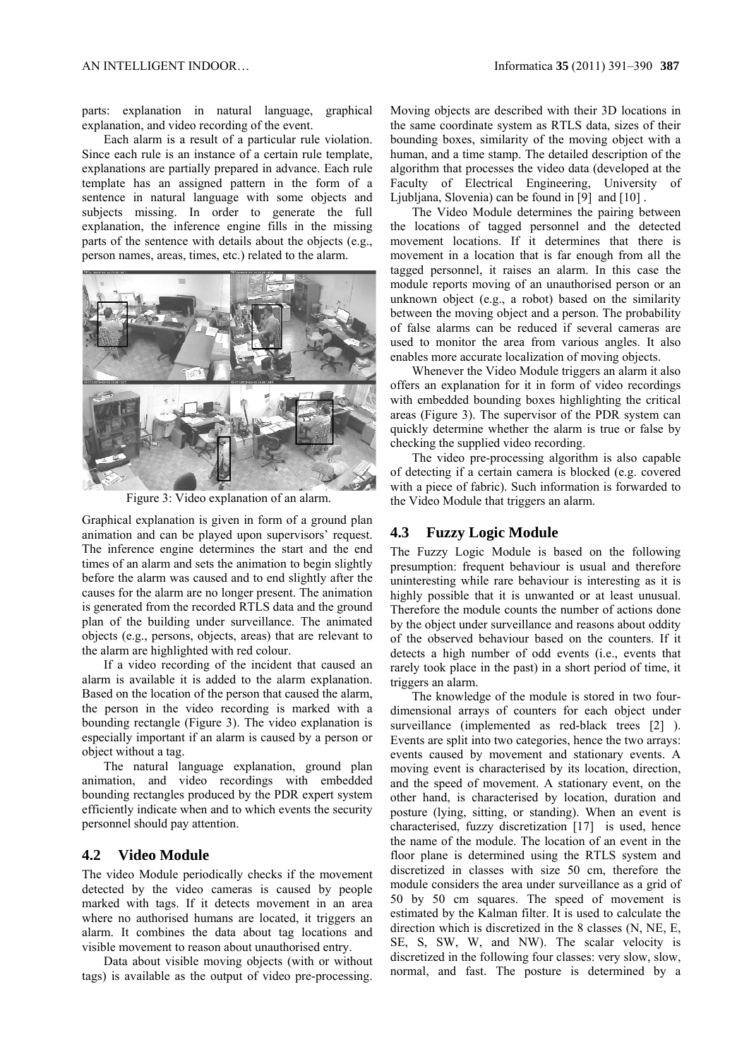parts: explanation in natural language, graphical explanation, and video recording of the event.

Each alarm is a result of a particular rule violation. Since each rule is an instance of a certain rule template, explanations are partially prepared in advance. Each rule template has an assigned pattern in the form of a sentence in natural language with some objects and subjects missing. In order to generate the full explanation, the inference engine fills in the missing parts of the sentence with details about the objects (e.g., person names, areas, times, etc.) related to the alarm.



Figure 3: Video explanation of an alarm.

Graphical explanation is given in form of a ground plan animation and can be played upon supervisors' request. The inference engine determines the start and the end times of an alarm and sets the animation to begin slightly before the alarm was caused and to end slightly after the causes for the alarm are no longer present. The animation is generated from the recorded RTLS data and the ground plan of the building under surveillance. The animated objects (e.g., persons, objects, areas) that are relevant to the alarm are highlighted with red colour.

If a video recording of the incident that caused an alarm is available it is added to the alarm explanation. Based on the location of the person that caused the alarm, the person in the video recording is marked with a bounding rectangle (Figure 3). The video explanation is especially important if an alarm is caused by a person or object without a tag.

The natural language explanation, ground plan animation, and video recordings with embedded bounding rectangles produced by the PDR expert system efficiently indicate when and to which events the security personnel should pay attention.

## **4.2 Video Module**

The video Module periodically checks if the movement detected by the video cameras is caused by people marked with tags. If it detects movement in an area where no authorised humans are located, it triggers an alarm. It combines the data about tag locations and visible movement to reason about unauthorised entry.

Data about visible moving objects (with or without tags) is available as the output of video pre-processing.

Moving objects are described with their 3D locations in the same coordinate system as RTLS data, sizes of their bounding boxes, similarity of the moving object with a human, and a time stamp. The detailed description of the algorithm that processes the video data (developed at the Faculty of Electrical Engineering, University of Ljubljana, Slovenia) can be found in [9] and [10] .

The Video Module determines the pairing between the locations of tagged personnel and the detected movement locations. If it determines that there is movement in a location that is far enough from all the tagged personnel, it raises an alarm. In this case the module reports moving of an unauthorised person or an unknown object (e.g., a robot) based on the similarity between the moving object and a person. The probability of false alarms can be reduced if several cameras are used to monitor the area from various angles. It also enables more accurate localization of moving objects.

Whenever the Video Module triggers an alarm it also offers an explanation for it in form of video recordings with embedded bounding boxes highlighting the critical areas (Figure 3). The supervisor of the PDR system can quickly determine whether the alarm is true or false by checking the supplied video recording.

The video pre-processing algorithm is also capable of detecting if a certain camera is blocked (e.g. covered with a piece of fabric). Such information is forwarded to the Video Module that triggers an alarm.

### **4.3 Fuzzy Logic Module**

The Fuzzy Logic Module is based on the following presumption: frequent behaviour is usual and therefore uninteresting while rare behaviour is interesting as it is highly possible that it is unwanted or at least unusual. Therefore the module counts the number of actions done by the object under surveillance and reasons about oddity of the observed behaviour based on the counters. If it detects a high number of odd events (i.e., events that rarely took place in the past) in a short period of time, it triggers an alarm.

The knowledge of the module is stored in two fourdimensional arrays of counters for each object under surveillance (implemented as red-black trees [2] ). Events are split into two categories, hence the two arrays: events caused by movement and stationary events. A moving event is characterised by its location, direction, and the speed of movement. A stationary event, on the other hand, is characterised by location, duration and posture (lying, sitting, or standing). When an event is characterised, fuzzy discretization [17] is used, hence the name of the module. The location of an event in the floor plane is determined using the RTLS system and discretized in classes with size 50 cm, therefore the module considers the area under surveillance as a grid of 50 by 50 cm squares. The speed of movement is estimated by the Kalman filter. It is used to calculate the direction which is discretized in the 8 classes (N, NE, E, SE, S, SW, W, and NW). The scalar velocity is discretized in the following four classes: very slow, slow, normal, and fast. The posture is determined by a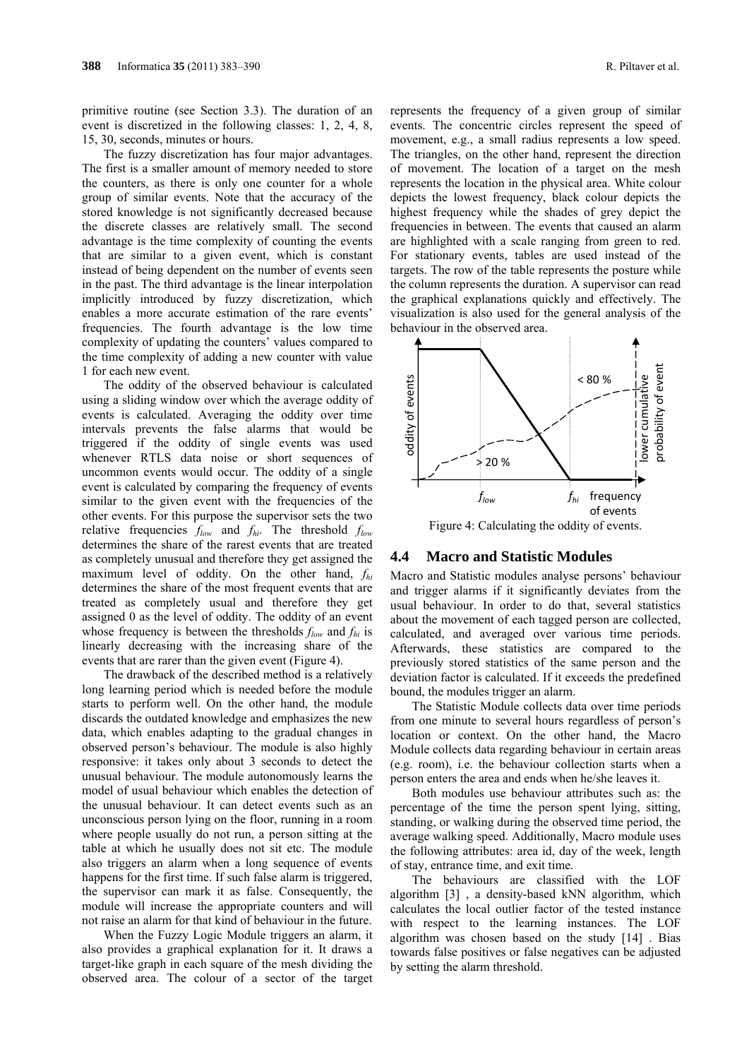primitive routine (see Section 3.3). The duration of an event is discretized in the following classes: 1, 2, 4, 8, 15, 30, seconds, minutes or hours.

The fuzzy discretization has four major advantages. The first is a smaller amount of memory needed to store the counters, as there is only one counter for a whole group of similar events. Note that the accuracy of the stored knowledge is not significantly decreased because the discrete classes are relatively small. The second advantage is the time complexity of counting the events that are similar to a given event, which is constant instead of being dependent on the number of events seen in the past. The third advantage is the linear interpolation implicitly introduced by fuzzy discretization, which enables a more accurate estimation of the rare events' frequencies. The fourth advantage is the low time complexity of updating the counters' values compared to the time complexity of adding a new counter with value 1 for each new event.

The oddity of the observed behaviour is calculated using a sliding window over which the average oddity of events is calculated. Averaging the oddity over time intervals prevents the false alarms that would be triggered if the oddity of single events was used whenever RTLS data noise or short sequences of uncommon events would occur. The oddity of a single event is calculated by comparing the frequency of events similar to the given event with the frequencies of the other events. For this purpose the supervisor sets the two relative frequencies *flow* and *fhi*. The threshold *flow* determines the share of the rarest events that are treated as completely unusual and therefore they get assigned the maximum level of oddity. On the other hand, *fhi* determines the share of the most frequent events that are treated as completely usual and therefore they get assigned 0 as the level of oddity. The oddity of an event whose frequency is between the thresholds *flow* and *fhi* is linearly decreasing with the increasing share of the events that are rarer than the given event (Figure 4).

The drawback of the described method is a relatively long learning period which is needed before the module starts to perform well. On the other hand, the module discards the outdated knowledge and emphasizes the new data, which enables adapting to the gradual changes in observed person's behaviour. The module is also highly responsive: it takes only about 3 seconds to detect the unusual behaviour. The module autonomously learns the model of usual behaviour which enables the detection of the unusual behaviour. It can detect events such as an unconscious person lying on the floor, running in a room where people usually do not run, a person sitting at the table at which he usually does not sit etc. The module also triggers an alarm when a long sequence of events happens for the first time. If such false alarm is triggered, the supervisor can mark it as false. Consequently, the module will increase the appropriate counters and will not raise an alarm for that kind of behaviour in the future.

When the Fuzzy Logic Module triggers an alarm, it also provides a graphical explanation for it. It draws a target-like graph in each square of the mesh dividing the observed area. The colour of a sector of the target represents the frequency of a given group of similar events. The concentric circles represent the speed of movement, e.g., a small radius represents a low speed. The triangles, on the other hand, represent the direction of movement. The location of a target on the mesh represents the location in the physical area. White colour depicts the lowest frequency, black colour depicts the highest frequency while the shades of grey depict the frequencies in between. The events that caused an alarm are highlighted with a scale ranging from green to red. For stationary events, tables are used instead of the targets. The row of the table represents the posture while the column represents the duration. A supervisor can read the graphical explanations quickly and effectively. The visualization is also used for the general analysis of the behaviour in the observed area.



#### **4.4 Macro and Statistic Modules**

Macro and Statistic modules analyse persons' behaviour and trigger alarms if it significantly deviates from the usual behaviour. In order to do that, several statistics about the movement of each tagged person are collected, calculated, and averaged over various time periods. Afterwards, these statistics are compared to the previously stored statistics of the same person and the deviation factor is calculated. If it exceeds the predefined bound, the modules trigger an alarm.

The Statistic Module collects data over time periods from one minute to several hours regardless of person's location or context. On the other hand, the Macro Module collects data regarding behaviour in certain areas (e.g. room), i.e. the behaviour collection starts when a person enters the area and ends when he/she leaves it.

Both modules use behaviour attributes such as: the percentage of the time the person spent lying, sitting, standing, or walking during the observed time period, the average walking speed. Additionally, Macro module uses the following attributes: area id, day of the week, length of stay, entrance time, and exit time.

The behaviours are classified with the LOF algorithm [3] , a density-based kNN algorithm, which calculates the local outlier factor of the tested instance with respect to the learning instances. The LOF algorithm was chosen based on the study [14] . Bias towards false positives or false negatives can be adjusted by setting the alarm threshold.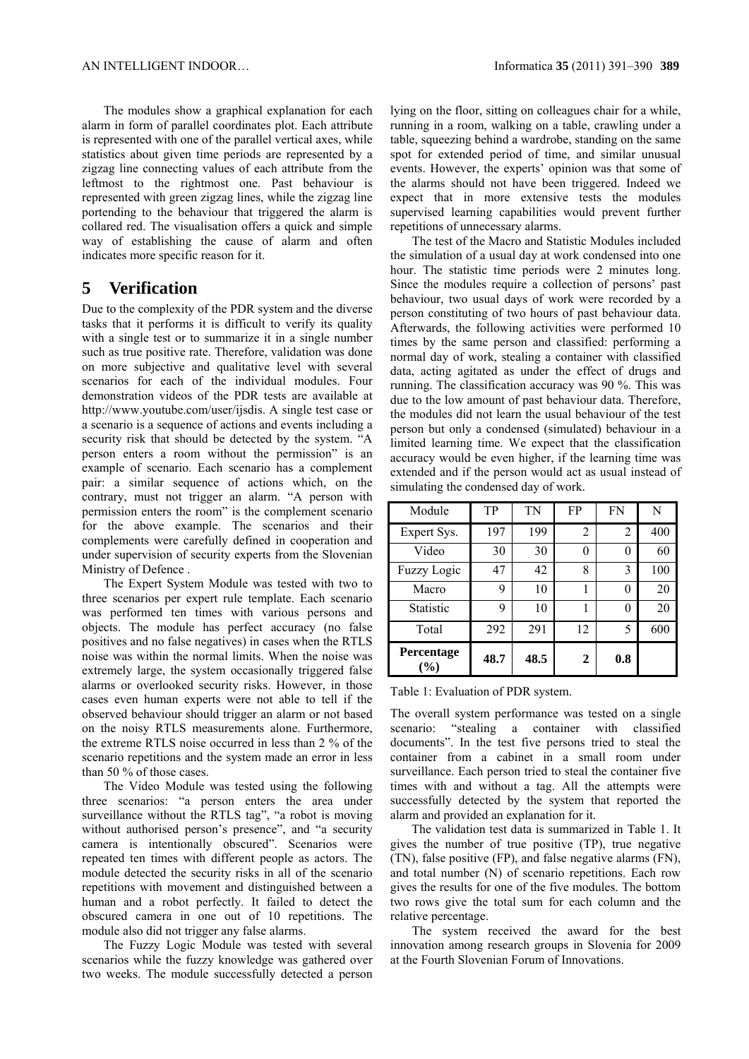The modules show a graphical explanation for each alarm in form of parallel coordinates plot. Each attribute is represented with one of the parallel vertical axes, while statistics about given time periods are represented by a zigzag line connecting values of each attribute from the leftmost to the rightmost one. Past behaviour is represented with green zigzag lines, while the zigzag line portending to the behaviour that triggered the alarm is collared red. The visualisation offers a quick and simple way of establishing the cause of alarm and often indicates more specific reason for it.

## **5 Verification**

Due to the complexity of the PDR system and the diverse tasks that it performs it is difficult to verify its quality with a single test or to summarize it in a single number such as true positive rate. Therefore, validation was done on more subjective and qualitative level with several scenarios for each of the individual modules. Four demonstration videos of the PDR tests are available at http://www.youtube.com/user/ijsdis. A single test case or a scenario is a sequence of actions and events including a security risk that should be detected by the system. "A person enters a room without the permission" is an example of scenario. Each scenario has a complement pair: a similar sequence of actions which, on the contrary, must not trigger an alarm. "A person with permission enters the room" is the complement scenario for the above example. The scenarios and their complements were carefully defined in cooperation and under supervision of security experts from the Slovenian Ministry of Defence .

The Expert System Module was tested with two to three scenarios per expert rule template. Each scenario was performed ten times with various persons and objects. The module has perfect accuracy (no false positives and no false negatives) in cases when the RTLS noise was within the normal limits. When the noise was extremely large, the system occasionally triggered false alarms or overlooked security risks. However, in those cases even human experts were not able to tell if the observed behaviour should trigger an alarm or not based on the noisy RTLS measurements alone. Furthermore, the extreme RTLS noise occurred in less than 2 % of the scenario repetitions and the system made an error in less than 50 % of those cases.

The Video Module was tested using the following three scenarios: "a person enters the area under surveillance without the RTLS tag", "a robot is moving without authorised person's presence", and "a security camera is intentionally obscured". Scenarios were repeated ten times with different people as actors. The module detected the security risks in all of the scenario repetitions with movement and distinguished between a human and a robot perfectly. It failed to detect the obscured camera in one out of 10 repetitions. The module also did not trigger any false alarms.

The Fuzzy Logic Module was tested with several scenarios while the fuzzy knowledge was gathered over two weeks. The module successfully detected a person

lying on the floor, sitting on colleagues chair for a while, running in a room, walking on a table, crawling under a table, squeezing behind a wardrobe, standing on the same spot for extended period of time, and similar unusual events. However, the experts' opinion was that some of the alarms should not have been triggered. Indeed we expect that in more extensive tests the modules supervised learning capabilities would prevent further repetitions of unnecessary alarms.

The test of the Macro and Statistic Modules included the simulation of a usual day at work condensed into one hour. The statistic time periods were 2 minutes long. Since the modules require a collection of persons' past behaviour, two usual days of work were recorded by a person constituting of two hours of past behaviour data. Afterwards, the following activities were performed 10 times by the same person and classified: performing a normal day of work, stealing a container with classified data, acting agitated as under the effect of drugs and running. The classification accuracy was 90 %. This was due to the low amount of past behaviour data. Therefore, the modules did not learn the usual behaviour of the test person but only a condensed (simulated) behaviour in a limited learning time. We expect that the classification accuracy would be even higher, if the learning time was extended and if the person would act as usual instead of simulating the condensed day of work.

| Module               | TP   | TN   | FP             | FN  | N   |
|----------------------|------|------|----------------|-----|-----|
| Expert Sys.          | 197  | 199  | $\overline{2}$ | 2   | 400 |
| Video                | 30   | 30   |                | 0   | 60  |
| <b>Fuzzy Logic</b>   | 47   | 42   | 8              | 3   | 100 |
| Macro                | 9    | 10   |                | 0   | 20  |
| Statistic            | 9    | 10   |                | 0   | 20  |
| Total                | 292  | 291  | 12             | 5   | 600 |
| Percentage<br>$($ %) | 48.7 | 48.5 | 2              | 0.8 |     |

Table 1: Evaluation of PDR system.

The overall system performance was tested on a single scenario: "stealing a container with classified documents". In the test five persons tried to steal the container from a cabinet in a small room under surveillance. Each person tried to steal the container five times with and without a tag. All the attempts were successfully detected by the system that reported the alarm and provided an explanation for it.

The validation test data is summarized in Table 1. It gives the number of true positive (TP), true negative (TN), false positive (FP), and false negative alarms (FN), and total number (N) of scenario repetitions. Each row gives the results for one of the five modules. The bottom two rows give the total sum for each column and the relative percentage.

The system received the award for the best innovation among research groups in Slovenia for 2009 at the Fourth Slovenian Forum of Innovations.